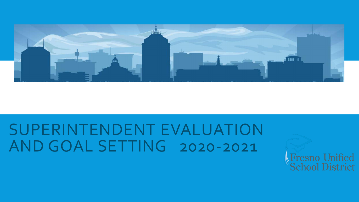

## SUPERINTENDENT EVALUATION AND GOAL SETTING 2020-2021

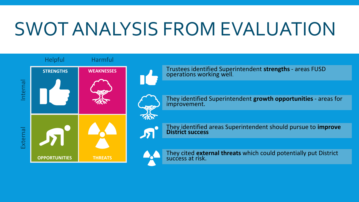# SWOT ANALYSIS FROM EVALUATION



Trustees identified Superintendent **strengths** - areas FUSD operations working well.



They identified Superintendent **growth opportunities** - areas for improvement.

They identified areas Superintendent should pursue to **improve District success**



They cited **external threats** which could potentially put District success at risk.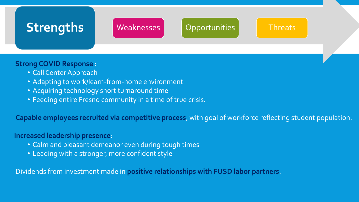### **Strengths** Weaknesses Opportunities Threats

**Strong COVID Response** :

- Call Center Approach
- Adapting to work/learn-from-home environment
- Acquiring technology short turnaround time
- Feeding entire Fresno community in a time of true crisis.

**Capable employees recruited via competitive process**, with goal of workforce reflecting student population.

### **Increased leadership presence**:

- Calm and pleasant demeanor even during tough times
- Leading with a stronger, more confident style

Dividends from investment made in **positive relationships with FUSD labor partners**.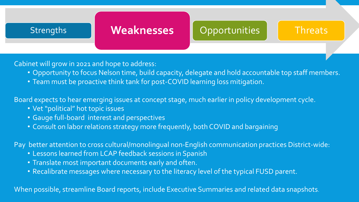### Strengths **Weaknesses** Opportunities Threats

Cabinet will grow in 2021 and hope to address:

- Opportunity to focus Nelson time, build capacity, delegate and hold accountable top staff members.
- Team must be proactive think tank for post-COVID learning loss mitigation.

Board expects to hear emerging issues at concept stage, much earlier in policy development cycle.

- Vet "political" hot topic issues
- Gauge full-board interest and perspectives
- Consult on labor relations strategy more frequently, both COVID and bargaining

Pay better attention to cross cultural/monolingual non-English communication practices District-wide:

- Lessons learned from LCAP feedback sessions in Spanish
- Translate most important documents early and often.
- Recalibrate messages where necessary to the literacy level of the typical FUSD parent.

When possible, streamline Board reports, include Executive Summaries and related data snapshots.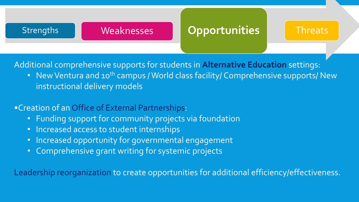### Strengths Weaknesses **Opportunities** Threats

Additional comprehensive supports for students in **Alternative Education** settings:

• New Ventura and 10<sup>th</sup> campus / World class facility/ Comprehensive supports/ New instructional delivery models

•Creation of an Office of External Partnerships:

- Funding support for community projects via foundation
- Increased access to student internships
- Increased opportunity for governmental engagement
- Comprehensive grant writing for systemic projects

Leadership reorganization to create opportunities for additional efficiency/effectiveness.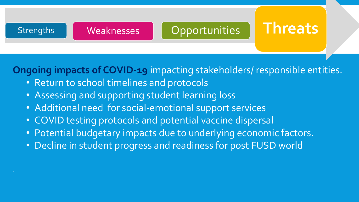## Strengths Weaknesses **Copportunities** Threats

**Ongoing impacts of COVID-19** impacting stakeholders/ responsible entities.

- Return to school timelines and protocols
- Assessing and supporting student learning loss
- Additional need for social-emotional support services
- COVID testing protocols and potential vaccine dispersal
- Potential budgetary impacts due to underlying economic factors.
- Decline in student progress and readiness for post FUSD world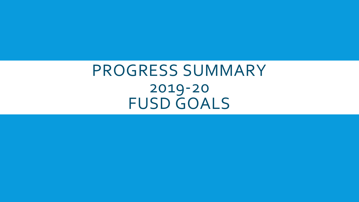PROGRESS SUMMARY 2019-20 FUSD GOALS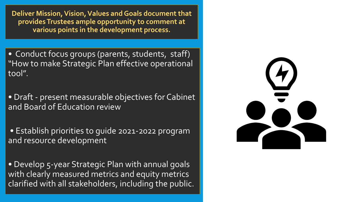**Deliver Mission, Vision, Values and Goals document that provides Trustees ample opportunity to comment at various points in the development process.** 

• Conduct focus groups (parents, students, staff) "How to make Strategic Plan effective operational tool".

• Draft - present measurable objectives for Cabinet and Board of Education review

• Establish priorities to guide 2021-2022 program and resource development

• Develop 5-year Strategic Plan with annual goals with clearly measured metrics and equity metrics clarified with all stakeholders, including the public.

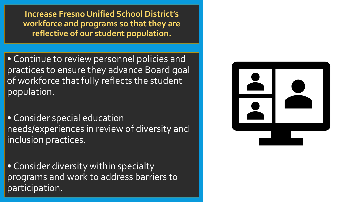**Increase Fresno Unified School District's workforce and programs so that they are reflective of our student population.** 

• Continue to review personnel policies and practices to ensure they advance Board goal of workforce that fully reflects the student population.

• Consider special education needs/experiences in review of diversity and inclusion practices.

• Consider diversity within specialty programs and work to address barriers to participation.

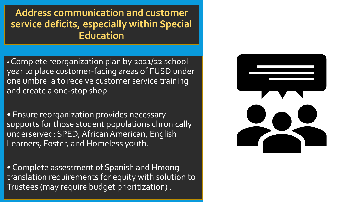**Address communication and customer service deficits, especially within Special Education** 

• Complete reorganization plan by 2021/22 school year to place customer-facing areas of FUSD under one umbrella to receive customer service training and create a one-stop shop

• Ensure reorganization provides necessary supports for those student populations chronically underserved: SPED, African American, English Learners, Foster, and Homeless youth.

• Complete assessment of Spanish and Hmong translation requirements for equity with solution to Trustees (may require budget prioritization) .

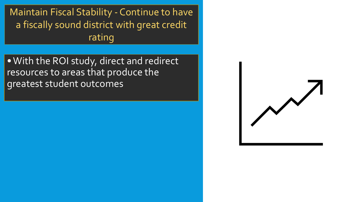Maintain Fiscal Stability - Continue to have a fiscally sound district with great credit rating

• With the ROI study, direct and redirect resources to areas that produce the greatest student outcomes

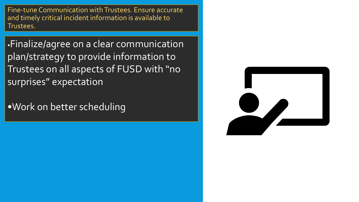Fine-tune Communication with Trustees. Ensure accurate and timely critical incident information is available to Trustees.

•Finalize/agree on a clear communication plan/strategy to provide information to Trustees on all aspects of FUSD with "no surprises" expectation

•Work on better scheduling

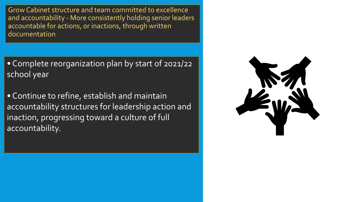Grow Cabinet structure and team committed to excellence and accountability - More consistently holding senior leaders accountable for actions, or inactions, through written documentation

• Complete reorganization plan by start of 2021/22 school year

• Continue to refine, establish and maintain accountability structures for leadership action and inaction, progressing toward a culture of full accountability.

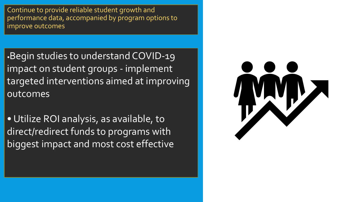Continue to provide reliable student growth and performance data, accompanied by program options to improve outcomes

•Begin studies to understand COVID-19 impact on student groups - implement targeted interventions aimed at improving outcomes

• Utilize ROI analysis, as available, to direct/redirect funds to programs with biggest impact and most cost effective

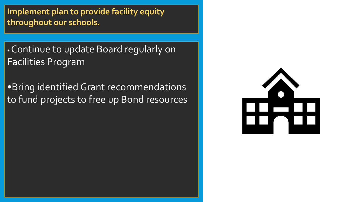**Implement plan to provide facility equity throughout our schools.**

• Continue to update Board regularly on Facilities Program

•Bring identified Grant recommendations to fund projects to free up Bond resources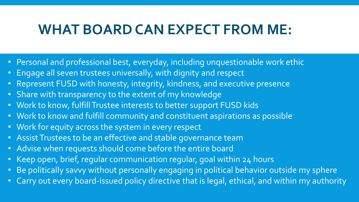### **WHAT BOARD CAN EXPECT FROM ME:**

- Personal and professional best, everyday, including unquestionable work ethic
- Engage all seven trustees universally, with dignity and respect
- Represent FUSD with honesty, integrity, kindness, and executive presence
- Share with transparency to the extent of my knowledge
- Work to know, fulfill Trustee interests to better support FUSD kids
- Work to know and fulfill community and constituent aspirations as possible
- Work for equity across the system in every respect
- Assist Trustees to be an effective and stable governance team
- Advise when requests should come before the entire board
- Keep open, brief, regular communication regular, goal within 24 hours
- Be politically savvy without personally engaging in political behavior outside my sphere
- Carry out every board-issued policy directive that is legal, ethical, and within my authority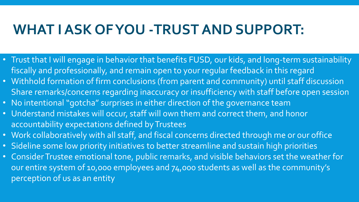### **WHAT I ASK OF YOU -TRUST AND SUPPORT:**

- Trust that I will engage in behavior that benefits FUSD, our kids, and long-term sustainability fiscally and professionally, and remain open to your regular feedback in this regard
- Withhold formation of firm conclusions (from parent and community) until staff discussion Share remarks/concerns regarding inaccuracy or insufficiency with staff before open session
- No intentional "gotcha" surprises in either direction of the governance team
- Understand mistakes will occur, staff will own them and correct them, and honor accountability expectations defined by Trustees
- Work collaboratively with all staff, and fiscal concerns directed through me or our office
- Sideline some low priority initiatives to better streamline and sustain high priorities
- Consider Trustee emotional tone, public remarks, and visible behaviors set the weather for our entire system of 10,000 employees and 74,000 students as well as the community's perception of us as an entity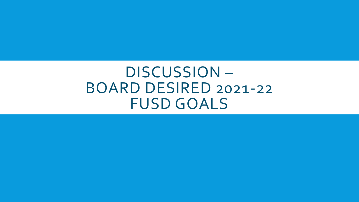DISCUSSION – BOARD DESIRED 2021-22 FUSD GOALS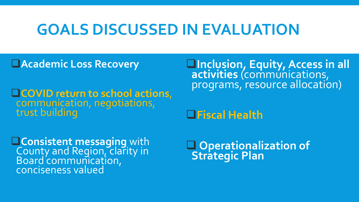### **GOALS DISCUSSED IN EVALUATION**

❑**Academic Loss Recovery**

❑**COVID return to school actions**, communication, negotiations, trust building

❑**Consistent messaging** with County and Region, clarity in Board communication, conciseness valued

❑**Inclusion, Equity, Access in all activities** (communications, programs, resource allocation)

❑**Fiscal Health**

❑ **Operationalization of Strategic Plan**